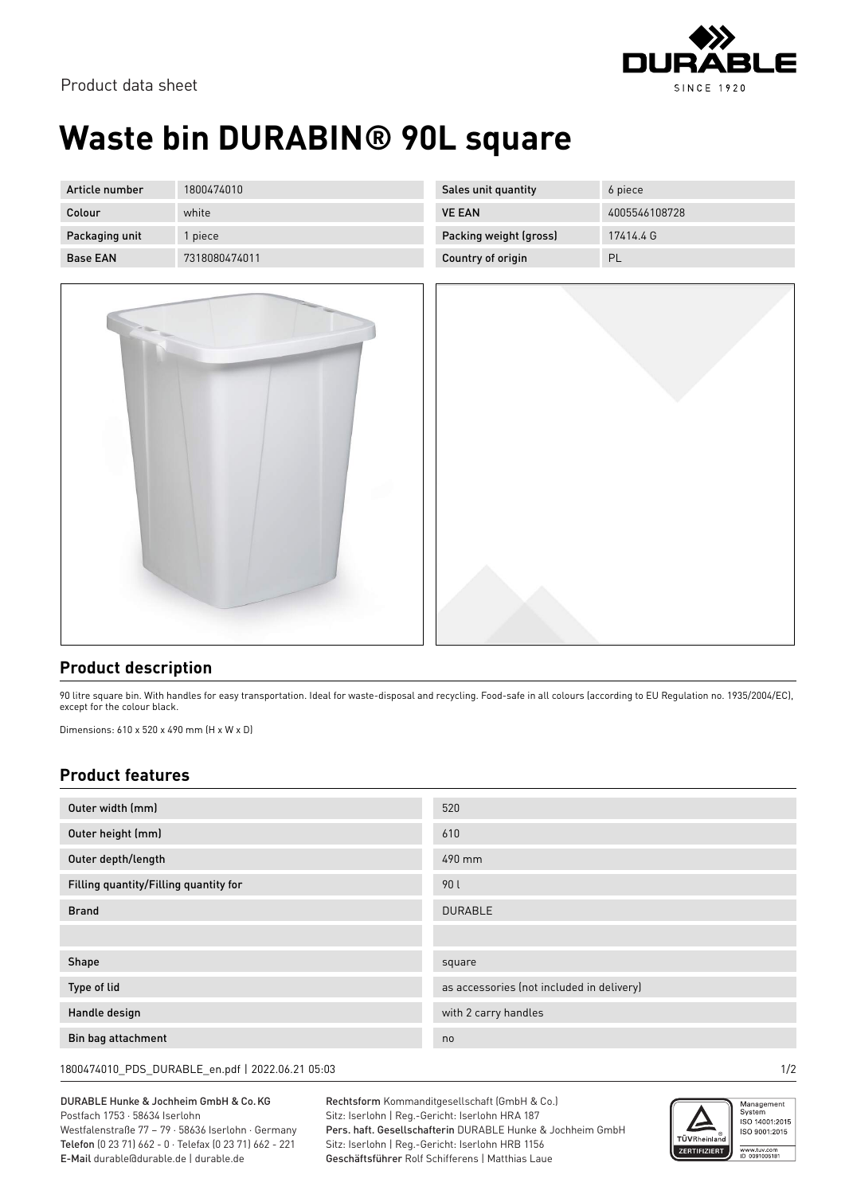

## **Waste bin DURABIN® 90L square**

| Article number  | 1800474010    | Sales unit quantity    | 6 piece       |
|-----------------|---------------|------------------------|---------------|
| Colour          | white         | <b>VE EAN</b>          | 4005546108728 |
| Packaging unit  | l piece       | Packing weight (gross) | 17414.4 G     |
| <b>Base EAN</b> | 7318080474011 | Country of origin      | PL            |



## **Product description**

90 litre square bin. With handles for easy transportation. Ideal for waste-disposal and recycling. Food-safe in all colours (according to EU Regulation no. 1935/2004/EC), except for the colour black.

Dimensions: 610 x 520 x 490 mm (H x W x D)

## **Product features**

| Outer width (mm)                      | 520                                       |  |
|---------------------------------------|-------------------------------------------|--|
| Outer height (mm)                     | 610                                       |  |
| Outer depth/length                    | 490 mm                                    |  |
| Filling quantity/Filling quantity for | 90 L                                      |  |
| <b>Brand</b>                          | <b>DURABLE</b>                            |  |
|                                       |                                           |  |
| Shape                                 | square                                    |  |
| Type of lid                           | as accessories (not included in delivery) |  |
| Handle design                         | with 2 carry handles                      |  |
| Bin bag attachment                    | no                                        |  |

1800474010\_PDS\_DURABLE\_en.pdf | 2022.06.21 05:03 1/2

DURABLE Hunke & Jochheim GmbH & Co.KG Postfach 1753 · 58634 Iserlohn Westfalenstraße 77 – 79 · 58636 Iserlohn · Germany Telefon (0 23 71) 662 - 0 · Telefax (0 23 71) 662 - 221

E-Mail durable@durable.de | durable.de

Rechtsform Kommanditgesellschaft (GmbH & Co.) Sitz: Iserlohn | Reg.-Gericht: Iserlohn HRA 187 Pers. haft. Gesellschafterin DURABLE Hunke & Jochheim GmbH Sitz: Iserlohn | Reg.-Gericht: Iserlohn HRB 1156 Geschäftsführer Rolf Schifferens | Matthias Laue